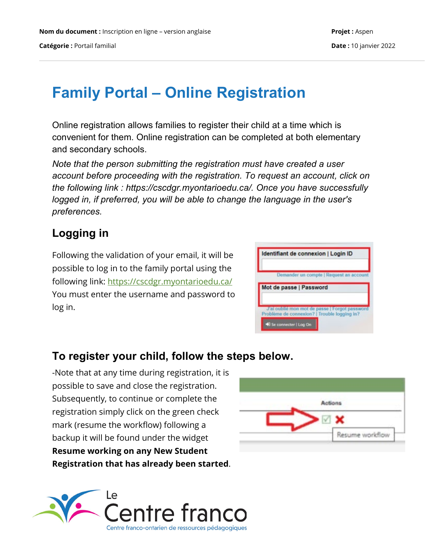# **Family Portal – Online Registration**

Online registration allows families to register their child at a time which is convenient for them. Online registration can be completed at both elementary and secondary schools.

*Note that the person submitting the registration must have created a user account before proceeding with the registration. To request an account, click on the following link : https://cscdgr.myontarioedu.ca/. Once you have successfully logged in, if preferred, you will be able to change the language in the user's preferences.*

# **Logging in**

Following the validation of your email, it will be possible to log in to the family portal using the following link:<https://cscdgr.myontarioedu.ca/> You must enter the username and password to log in.

| Identifiant de connexion   Login ID                                   |
|-----------------------------------------------------------------------|
| Demander un compte   Request an account                               |
| Mot de passe   Password                                               |
| J'ai oublie mon mot de passe   Forgot password                        |
| Problème de connexion?   Trouble logging in?<br>Se connecter   Log On |

## **To register your child, follow the steps below.**

-Note that at any time during registration, it is possible to save and close the registration. Subsequently, to continue or complete the registration simply click on the green check mark (resume the workflow) following a backup it will be found under the widget **Resume working on any New Student Registration that has already been started**.



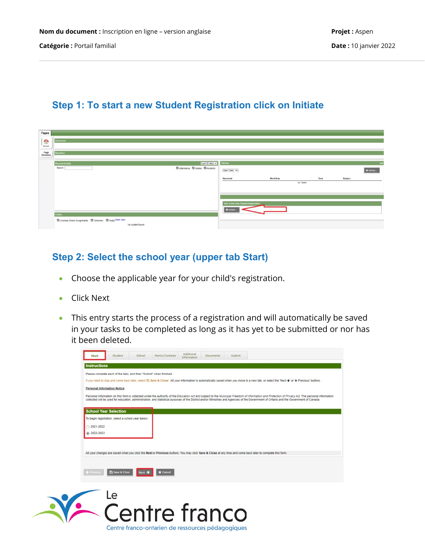#### **Step 1: To start a new Student Registration click on Initiate**

| Pages                                                          |                                                                                                        |                                             |                                      |          |                  |         |              |
|----------------------------------------------------------------|--------------------------------------------------------------------------------------------------------|---------------------------------------------|--------------------------------------|----------|------------------|---------|--------------|
| $\begin{array}{c}\n\bullet \\ \bullet \\ \bullet\n\end{array}$ | Annonces                                                                                               |                                             |                                      |          |                  |         |              |
| ---<br>Page<br>Directory<br>___                                | Bannière                                                                                               |                                             |                                      |          |                  |         |              |
|                                                                | <b>Recent Activity</b>                                                                                 | Last 30 days v                              | Täches                               |          |                  |         | Edi          |
|                                                                | Search:                                                                                                | <b>El Attendance El Grades El Incidents</b> | Open Tasks v                         |          |                  |         | $+$ Initiate |
|                                                                |                                                                                                        |                                             | Received                             | Workflow | Task<br>No Tasks | Subject |              |
|                                                                |                                                                                                        |                                             |                                      |          |                  |         |              |
|                                                                |                                                                                                        |                                             |                                      |          |                  |         |              |
|                                                                |                                                                                                        |                                             | Start a new New Student Registration |          |                  |         |              |
|                                                                | <b>A</b> faire                                                                                         |                                             | $+$ Initiate                         |          |                  |         |              |
|                                                                | <b>Ed</b> Overdue Online Assignments <b>Ed</b> Tomorrow <b>Ed</b> Today Week View<br>No student found. |                                             |                                      |          |                  |         |              |

#### **Step 2: Select the school year (upper tab Start)**

- Choose the applicable year for your child's registration.
- Click Next

 $\overline{\mathcal{L}}$ 

• This entry starts the process of a registration and will automatically be saved in your tasks to be completed as long as it has yet to be submitted or nor has it been deleted.

|                      | <b>Personal Information Notice</b>                 |        |                 |  |                                                                                                                                                                                                                                                                                                                                                                                                 |
|----------------------|----------------------------------------------------|--------|-----------------|--|-------------------------------------------------------------------------------------------------------------------------------------------------------------------------------------------------------------------------------------------------------------------------------------------------------------------------------------------------------------------------------------------------|
|                      |                                                    |        |                 |  | Personal information on this form is collected under the authority of the Education Act and subject to the Municipal Freedom of Information and Protection of Privacy Act. The personal information<br>collected will be used for education, administration, and statistical purposes of the District and/or Ministries and Agencies of the Government of Ontario and the Government of Canada. |
|                      | <b>School Year Selection</b>                       |        |                 |  |                                                                                                                                                                                                                                                                                                                                                                                                 |
|                      | To begin registration, select a school year below: |        |                 |  |                                                                                                                                                                                                                                                                                                                                                                                                 |
| $\bigcirc$ 2021-2022 |                                                    |        |                 |  |                                                                                                                                                                                                                                                                                                                                                                                                 |
| ● 2022-2023          |                                                    |        |                 |  |                                                                                                                                                                                                                                                                                                                                                                                                 |
|                      |                                                    |        |                 |  |                                                                                                                                                                                                                                                                                                                                                                                                 |
|                      |                                                    |        |                 |  | All your changes are saved when you click the Next or Previous buttons. You may click Save & Close at any time and come back later to complete this form.                                                                                                                                                                                                                                       |
|                      |                                                    |        |                 |  |                                                                                                                                                                                                                                                                                                                                                                                                 |
|                      |                                                    |        |                 |  |                                                                                                                                                                                                                                                                                                                                                                                                 |
|                      |                                                    |        |                 |  |                                                                                                                                                                                                                                                                                                                                                                                                 |
| Frevious             | Save & Close                                       | Next > | <b>X</b> Cancel |  |                                                                                                                                                                                                                                                                                                                                                                                                 |

enfre franco

Centre franco-ontarien de ressources pédagogiques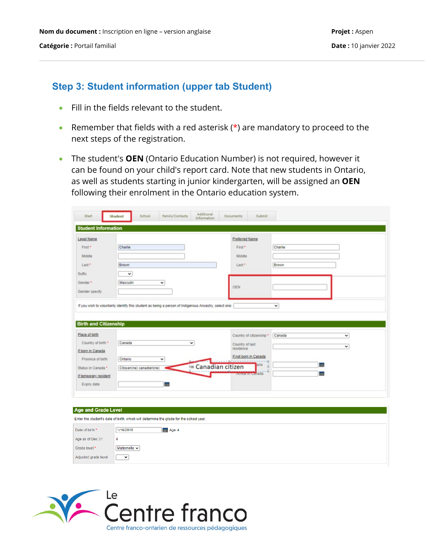#### **Step 3: Student information (upper tab Student)**

- Fill in the fields relevant to the student.
- Remember that fields with a red asterisk  $(*)$  are mandatory to proceed to the next steps of the registration.
- The student's **OEN** (Ontario Education Number) is not required, however it can be found on your child's report card. Note that new students in Ontario, as well as students starting in junior kindergarten, will be assigned an **OEN** following their enrolment in the Ontario education system.

| Legal Name                                    |                                                                                                        |                         | Preferred Name                                                                |         |   |
|-----------------------------------------------|--------------------------------------------------------------------------------------------------------|-------------------------|-------------------------------------------------------------------------------|---------|---|
| First*                                        | Charlie                                                                                                |                         | First*                                                                        | Charlie |   |
| Middle                                        |                                                                                                        |                         | Middle                                                                        |         |   |
| Last*                                         | Brown                                                                                                  |                         | Last*                                                                         | Brown   |   |
| <b>Suffix</b>                                 | ۰                                                                                                      |                         |                                                                               |         |   |
| Gender*                                       | $\check{~}$<br>Masculin                                                                                |                         |                                                                               |         |   |
| Gender specify                                |                                                                                                        |                         | <b>OEN</b>                                                                    |         |   |
|                                               |                                                                                                        |                         |                                                                               |         |   |
|                                               | If you wish to voluntarily identify this student as being a person of Indigenous Ancestry, select one: |                         |                                                                               | v       |   |
|                                               |                                                                                                        |                         |                                                                               |         |   |
| Country of birth *<br>If born in Canada       | Canada<br>Ontario<br>v                                                                                 | ٧<br>- Canadian citizen | Country of last<br>residence<br>If not born in Canada<br>$-\Box$<br>ario<br>ö | m       | v |
| Province of birth                             | Citoyen(ne) canadien(ne)                                                                               |                         |                                                                               |         |   |
|                                               |                                                                                                        |                         | o<br>wrivar in canada                                                         | HH.     |   |
| Expiry date                                   | <b>THE</b>                                                                                             |                         |                                                                               |         |   |
| Status in Canada *<br>If temporary resident   |                                                                                                        |                         |                                                                               |         |   |
|                                               |                                                                                                        |                         |                                                                               |         |   |
|                                               |                                                                                                        |                         |                                                                               |         |   |
|                                               | Enter the student's date of birth, which will determine the grade for the school year.                 |                         |                                                                               |         |   |
|                                               | 1/10/2018                                                                                              |                         |                                                                               |         |   |
| <b>Age and Grade Level</b><br>Date of birth * | <b>HIEL Age 4</b>                                                                                      |                         |                                                                               |         |   |
|                                               | 4                                                                                                      |                         |                                                                               |         |   |
| Age as of Dec 31<br>Grade level *             | Maternelle $\sim$                                                                                      |                         |                                                                               |         |   |

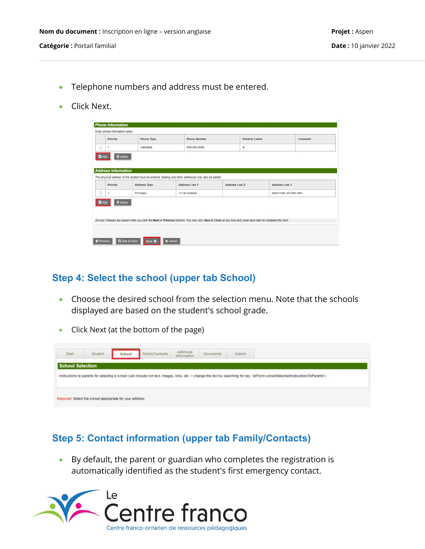- Telephone numbers and address must be entered.
- Click Next.

|                                  | <b>Phone Type</b>   | <b>Phone Number</b>                                                                                 | <b>Publicly Listed</b> |                | Comment               |
|----------------------------------|---------------------|-----------------------------------------------------------------------------------------------------|------------------------|----------------|-----------------------|
|                                  | Cellulaire          | 000-000-0000                                                                                        | N                      |                |                       |
| <b>Address Information</b>       |                     | The physical address of the student must be entered. Mailing and other addresses may also be added. |                        |                |                       |
| Priority                         | <b>Address Type</b> | Address Line 1                                                                                      | <b>Address Line 2</b>  | Address Line 3 |                       |
|                                  | Physique            | 111 Elf Avenue                                                                                      |                        |                | North Pole ON H0H 0H0 |
| <b>B</b> Delete<br><b>El</b> Add |                     |                                                                                                     |                        |                |                       |

#### **Step 4: Select the school (upper tab School)**

- Choose the desired school from the selection menu. Note that the schools displayed are based on the student's school grade.
- Click Next (at the bottom of the page)



### **Step 5: Contact information (upper tab Family/Contacts)**

• By default, the parent or guardian who completes the registration is automatically identified as the student's first emergency contact.

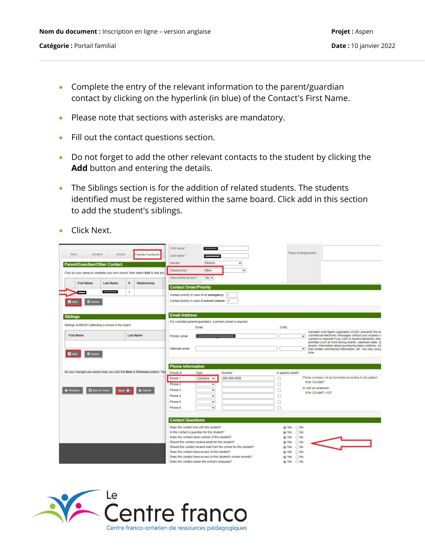- Complete the entry of the relevant information to the parent/guardian contact by clicking on the hyperlink (in blue) of the Contact's First Name.
- Please note that sections with asterisks are mandatory.
- Fill out the contact questions section.
- Do not forget to add the other relevant contacts to the student by clicking the **Add** button and entering the details.
- The Siblings section is for the addition of related students. The students identified must be registered within the same board. Click add in this section to add the student's siblings.
- Click Next.

|                                                                             |                       |                        | First name*                                    |                                                     |                                                                    |        |                          |                                                                                                                       |
|-----------------------------------------------------------------------------|-----------------------|------------------------|------------------------------------------------|-----------------------------------------------------|--------------------------------------------------------------------|--------|--------------------------|-----------------------------------------------------------------------------------------------------------------------|
| Student<br><b>Start</b>                                                     | School                | <b>Family/Contacts</b> | Last name *                                    |                                                     |                                                                    |        | Place of employment      |                                                                                                                       |
|                                                                             |                       |                        | Gender                                         | Féminin                                             | $\check{~}$                                                        |        |                          |                                                                                                                       |
| <b>Parent/Guardian/Other Contact</b>                                        |                       |                        | Relationship *                                 | Mère                                                | $\check{ }$                                                        |        |                          |                                                                                                                       |
| Click on your name to complete your own record, then select Add to add any  |                       |                        |                                                |                                                     |                                                                    |        |                          |                                                                                                                       |
| <b>First Name</b>                                                           | #<br><b>Last Name</b> | Relationship           | Allow portal access?                           | Yes $\vee$                                          |                                                                    |        |                          |                                                                                                                       |
|                                                                             |                       |                        | <b>Contact Order/Priority</b>                  |                                                     |                                                                    |        |                          |                                                                                                                       |
|                                                                             | $\ddot{\phantom{1}}$  |                        |                                                | Contact priority in case of an emergency  1         |                                                                    |        |                          |                                                                                                                       |
| <b>B</b> Delete                                                             |                       |                        |                                                | Contact priority in case of school closure   1      |                                                                    |        |                          |                                                                                                                       |
|                                                                             |                       |                        |                                                |                                                     |                                                                    |        |                          |                                                                                                                       |
|                                                                             |                       |                        |                                                |                                                     |                                                                    |        |                          |                                                                                                                       |
| <b>Siblings</b>                                                             |                       |                        | <b>Email Address</b>                           |                                                     |                                                                    |        |                          |                                                                                                                       |
| Siblings ALREADY attending a school in this board                           |                       |                        |                                                | Email                                               | For custodial parents/guardians, a primary email is required.      | CASL   |                          |                                                                                                                       |
|                                                                             |                       |                        |                                                |                                                     |                                                                    |        |                          | Canada's Anti-Spam Legislation (CASL) prevents the ser                                                                |
| <b>First Name</b>                                                           |                       | <b>Last Name</b>       | Primary email                                  |                                                     |                                                                    |        | $\checkmark$             | commercial electronic messages without your express of<br>consent is required if you wish to receive electronic mess  |
|                                                                             |                       |                        |                                                |                                                     |                                                                    |        |                          | activities such as fund raising events, yearbook sales, sa<br>photos, information about purchasing team uniforms, sor |
|                                                                             |                       |                        | Alternate email                                |                                                     |                                                                    |        | $\checkmark$             | that contain commercial information, etc. You may unsub                                                               |
| <b>B</b> Delete                                                             |                       |                        |                                                |                                                     |                                                                    |        | time.                    |                                                                                                                       |
|                                                                             |                       |                        |                                                |                                                     |                                                                    |        |                          |                                                                                                                       |
|                                                                             |                       |                        | <b>Phone Information</b>                       |                                                     |                                                                    |        |                          |                                                                                                                       |
| All your changes are saved when you click the Next or Previous buttons. You |                       |                        | Priority #                                     | Type                                                | Number                                                             |        | Is publicly listed?      |                                                                                                                       |
|                                                                             |                       |                        | Phone 1 *                                      | Cellulaire v                                        | 000-000-0000                                                       | □      | '918-123-4567'           | Phone numbers will be formatted according to the pattern:                                                             |
|                                                                             |                       |                        | Phone 2                                        | $\checkmark$                                        |                                                                    | □      | or with an extension     |                                                                                                                       |
| ← Previous<br><b>El Save &amp; Close</b>                                    | Next $\rightarrow$    | <b>X</b> Cancel        | Phone 3<br>Phone 4                             | $\check{~}$<br>$\check{~}$                          |                                                                    | o      |                          | '918-123-4567 x123'                                                                                                   |
|                                                                             |                       |                        |                                                |                                                     |                                                                    | □      |                          |                                                                                                                       |
|                                                                             |                       |                        |                                                |                                                     |                                                                    |        |                          |                                                                                                                       |
|                                                                             |                       |                        |                                                |                                                     |                                                                    |        |                          |                                                                                                                       |
|                                                                             |                       |                        | Phone 5<br>Phone 6<br><b>Contact Questions</b> | v<br>$\checkmark$                                   |                                                                    | o<br>□ |                          |                                                                                                                       |
|                                                                             |                       |                        |                                                | Does this contact live with this student?           |                                                                    |        | (@) Yes<br>$\bigcirc$ No |                                                                                                                       |
|                                                                             |                       |                        |                                                | Is this contact a guardian for this student?        |                                                                    |        | $\bigcirc$ No<br>(@) Yes |                                                                                                                       |
|                                                                             |                       |                        |                                                | Does this contact have custody of this student?     |                                                                    |        | $\bigcirc$ No<br>(a) Yes |                                                                                                                       |
|                                                                             |                       |                        |                                                | Should this contact receive email for this student? |                                                                    |        | (@) Yes<br>$\bigcirc$ No |                                                                                                                       |
|                                                                             |                       |                        |                                                |                                                     | Should this contact receive mail from the school for this student? |        | (@) Yes<br>$\bigcirc$ No |                                                                                                                       |
|                                                                             |                       |                        |                                                | Does this contact have access to this student?      | Does this contact have access to this student's school records?    |        | ®Yes ∩No<br>(@) Yes ○ No |                                                                                                                       |
|                                                                             |                       |                        |                                                | Does this contact speak the school's language?      |                                                                    |        | in Yes ∩ No              |                                                                                                                       |

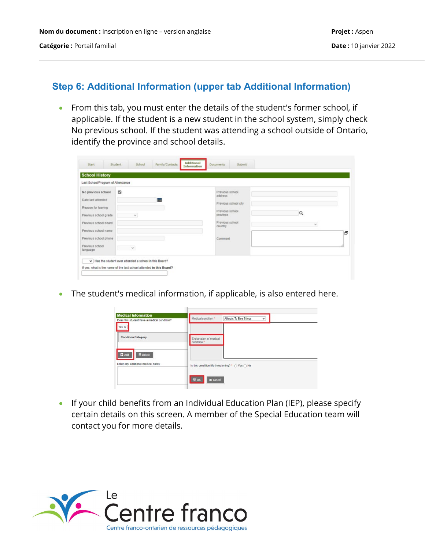#### **Step 6: Additional Information (upper tab Additional Information)**

• From this tab, you must enter the details of the student's former school, if applicable. If the student is a new student in the school system, simply check No previous school. If the student was attending a school outside of Ontario, identify the province and school details.

| Last School/Program of Attendance |              |                             |          |
|-----------------------------------|--------------|-----------------------------|----------|
| No previous school                | 5            | Previous school<br>address  |          |
| Date last attended                | 晶            |                             |          |
| Reason for leaving                |              | Previous school city        |          |
| Previous school grade             | $\checkmark$ | Previous school<br>province | $\alpha$ |
|                                   |              |                             |          |
| Previous school board             |              | Previous school<br>country  | $\vee$   |
| Previous school name              |              |                             | Ð        |
| Previous school phone             |              | Comment                     |          |
| Previous school<br>language       | $\sim$       |                             |          |

• The student's medical information, if applicable, is also entered here.

| <b>Medical Information</b><br>Does this student have a medical condition?<br>Yes w | Medical condition *                              | Allergic To Bee Stings | $\check{~}$ |  |
|------------------------------------------------------------------------------------|--------------------------------------------------|------------------------|-------------|--|
| <b>Condition Category</b>                                                          | Explanation of medical<br>condition *            |                        |             |  |
| <b>D</b> Add<br><b>B</b> Delete<br>Enter any additional medical notes              | Is this condition life-threatening? * O Yes O No |                        |             |  |
|                                                                                    | $\boxtimes$ ok<br><b>X</b> Cancel                |                        |             |  |

• If your child benefits from an Individual Education Plan (IEP), please specify certain details on this screen. A member of the Special Education team will contact you for more details.

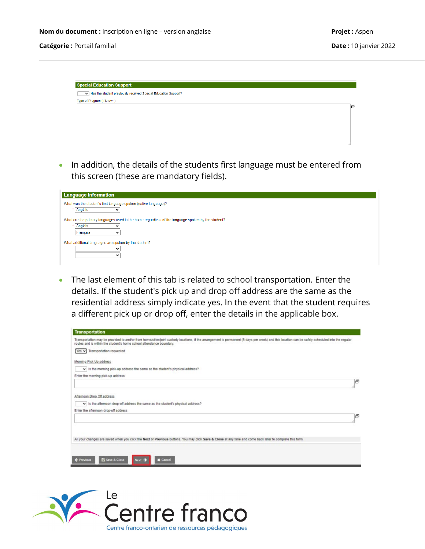

• In addition, the details of the students first language must be entered from this screen (these are mandatory fields).

| <b>Language Information</b>                                                                       |
|---------------------------------------------------------------------------------------------------|
| What was the student's first language spoken (native language)?                                   |
| Anglais                                                                                           |
| What are the primary languages used in the home regardless of the language spoken by the student? |
| Anglais<br>$\check{ }$                                                                            |
| Français                                                                                          |
| What additional languages are spoken by the student?                                              |
| $\checkmark$                                                                                      |
| ັ                                                                                                 |
|                                                                                                   |

• The last element of this tab is related to school transportation. Enter the details. If the student's pick up and drop off address are the same as the residential address simply indicate yes. In the event that the student requires a different pick up or drop off, enter the details in the applicable box.

| Transportation may be provided to and/or from home/sitter/joint custody locations, if the arrangement is permanent (5 days per week) and this location can be safely scheduled into the regular<br>routes and is within the student's home school attendance boundary. |   |
|------------------------------------------------------------------------------------------------------------------------------------------------------------------------------------------------------------------------------------------------------------------------|---|
| Yes v Transportation requested                                                                                                                                                                                                                                         |   |
| Morning Pick Up address                                                                                                                                                                                                                                                |   |
| $\vee$ is the morning pick-up address the same as the student's physical address?                                                                                                                                                                                      |   |
| Enter the morning pick-up address                                                                                                                                                                                                                                      |   |
|                                                                                                                                                                                                                                                                        | a |
|                                                                                                                                                                                                                                                                        |   |
| Afternoon Drop Off address                                                                                                                                                                                                                                             |   |
| v Is the afternoon drop-off address the same as the student's physical address?                                                                                                                                                                                        |   |
| Enter the afternoon drop-off address                                                                                                                                                                                                                                   |   |
|                                                                                                                                                                                                                                                                        |   |
|                                                                                                                                                                                                                                                                        |   |
|                                                                                                                                                                                                                                                                        | a |
|                                                                                                                                                                                                                                                                        |   |

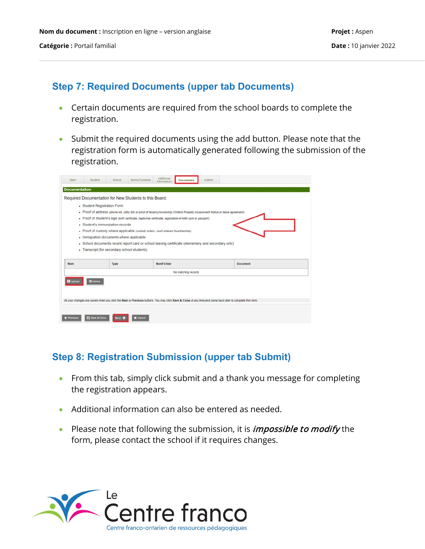#### **Step 7: Required Documents (upper tab Documents)**

- Certain documents are required from the school boards to complete the registration.
- Submit the required documents using the add button. Please note that the registration form is automatically generated following the submission of the registration.

| <b>Documentation</b> |                                                        |                                                                                                                                                           |                 |  |
|----------------------|--------------------------------------------------------|-----------------------------------------------------------------------------------------------------------------------------------------------------------|-----------------|--|
|                      | Required Documentation for New Students to this Board: |                                                                                                                                                           |                 |  |
|                      | • Student Registration Form                            |                                                                                                                                                           |                 |  |
|                      |                                                        | . Proof of address (phone bill, utility bill) or proof of tenancy/ownership (Ontario Property Assessment Notice or lease agreement)                       |                 |  |
|                      |                                                        | . Proof of Student's Age (birth certificate, baptismal certificate, registration of birth card or passport)                                               |                 |  |
|                      | · Student's immunization records                       |                                                                                                                                                           |                 |  |
|                      |                                                        | • Proof of custody where applicable (custody orders, court ordered Guardianship)                                                                          |                 |  |
|                      | . Immigration documents where applicable               |                                                                                                                                                           |                 |  |
|                      |                                                        |                                                                                                                                                           |                 |  |
|                      |                                                        | • School documents recent report card or school leaving certificate (elementary and secondary only)                                                       |                 |  |
|                      | • Transcript (for secondary school students)           |                                                                                                                                                           |                 |  |
|                      |                                                        |                                                                                                                                                           |                 |  |
| <b>Nom</b>           | Type                                                   | NomFichier                                                                                                                                                | <b>Document</b> |  |
|                      |                                                        | No matching records                                                                                                                                       |                 |  |
| <b>C</b> Upload      | <b>B</b> Delete                                        |                                                                                                                                                           |                 |  |
|                      |                                                        | All your changes are saved when you click the Next or Previous buttons. You may click Save & Close at any time and come back later to complete this form. |                 |  |
|                      |                                                        |                                                                                                                                                           |                 |  |
|                      |                                                        |                                                                                                                                                           |                 |  |

#### **Step 8: Registration Submission (upper tab Submit)**

- From this tab, simply click submit and a thank you message for completing the registration appears.
- Additional information can also be entered as needed.
- Please note that following the submission, it is *impossible to modify* the form, please contact the school if it requires changes.